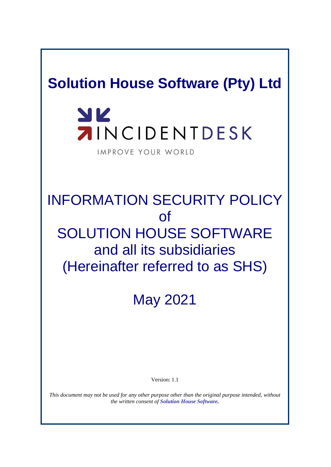# **Solution House Software (Pty) Ltd**

# YK **AINCIDENTDESK**

IMPROVE YOUR WORLD

# INFORMATION SECURITY POLICY of SOLUTION HOUSE SOFTWARE and all its subsidiaries (Hereinafter referred to as SHS)

May 2021

Version: 1.1

*This document may not be used for any other purpose other than the original purpose intended, without the written consent of Solution House Software.*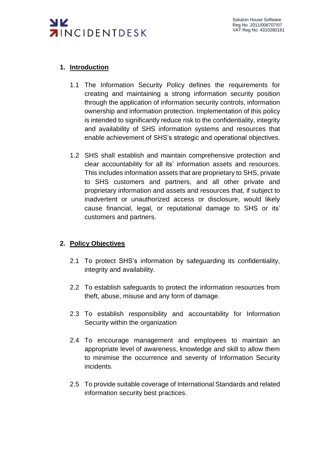

### **1. Introduction**

- 1.1 The Information Security Policy defines the requirements for creating and maintaining a strong information security position through the application of information security controls, information ownership and information protection. Implementation of this policy is intended to significantly reduce risk to the confidentiality, integrity and availability of SHS information systems and resources that enable achievement of SHS's strategic and operational objectives.
- 1.2 SHS shall establish and maintain comprehensive protection and clear accountability for all its' information assets and resources. This includes information assets that are proprietary to SHS, private to SHS customers and partners, and all other private and proprietary information and assets and resources that, if subject to inadvertent or unauthorized access or disclosure, would likely cause financial, legal, or reputational damage to SHS or its' customers and partners.

#### **2. Policy Objectives**

- 2.1 To protect SHS's information by safeguarding its confidentiality, integrity and availability.
- 2.2 To establish safeguards to protect the information resources from theft, abuse, misuse and any form of damage.
- 2.3 To establish responsibility and accountability for Information Security within the organization
- 2.4 To encourage management and employees to maintain an appropriate level of awareness, knowledge and skill to allow them to minimise the occurrence and severity of Information Security incidents.
- 2.5 To provide suitable coverage of International Standards and related information security best practices.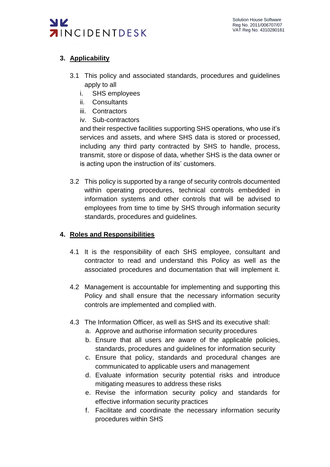

# **3. Applicability**

- 3.1 This policy and associated standards, procedures and guidelines apply to all
	- i. SHS employees
	- ii. Consultants
	- iii. Contractors
	- iv. Sub-contractors

and their respective facilities supporting SHS operations, who use it's services and assets, and where SHS data is stored or processed, including any third party contracted by SHS to handle, process, transmit, store or dispose of data, whether SHS is the data owner or is acting upon the instruction of its' customers.

3.2 This policy is supported by a range of security controls documented within operating procedures, technical controls embedded in information systems and other controls that will be advised to employees from time to time by SHS through information security standards, procedures and guidelines.

#### **4. Roles and Responsibilities**

- 4.1 It is the responsibility of each SHS employee, consultant and contractor to read and understand this Policy as well as the associated procedures and documentation that will implement it.
- 4.2 Management is accountable for implementing and supporting this Policy and shall ensure that the necessary information security controls are implemented and complied with.
- 4.3 The Information Officer, as well as SHS and its executive shall:
	- a. Approve and authorise information security procedures
	- b. Ensure that all users are aware of the applicable policies, standards, procedures and guidelines for information security
	- c. Ensure that policy, standards and procedural changes are communicated to applicable users and management
	- d. Evaluate information security potential risks and introduce mitigating measures to address these risks
	- e. Revise the information security policy and standards for effective information security practices
	- f. Facilitate and coordinate the necessary information security procedures within SHS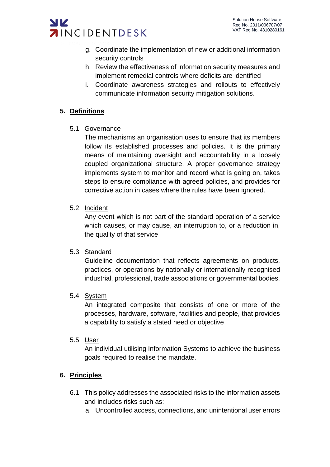

- g. Coordinate the implementation of new or additional information security controls
- h. Review the effectiveness of information security measures and implement remedial controls where deficits are identified
- i. Coordinate awareness strategies and rollouts to effectively communicate information security mitigation solutions.

# **5. Definitions**

5.1 Governance

The mechanisms an organisation uses to ensure that its members follow its established processes and policies. It is the primary means of maintaining oversight and accountability in a loosely coupled organizational structure. A proper governance strategy implements system to monitor and record what is going on, takes steps to ensure compliance with agreed policies, and provides for corrective action in cases where the rules have been ignored.

5.2 Incident

Any event which is not part of the standard operation of a service which causes, or may cause, an interruption to, or a reduction in, the quality of that service

#### 5.3 Standard

Guideline documentation that reflects agreements on products, practices, or operations by nationally or internationally recognised industrial, professional, trade associations or governmental bodies.

#### 5.4 System

An integrated composite that consists of one or more of the processes, hardware, software, facilities and people, that provides a capability to satisfy a stated need or objective

#### 5.5 User

An individual utilising Information Systems to achieve the business goals required to realise the mandate.

# **6. Principles**

- 6.1 This policy addresses the associated risks to the information assets and includes risks such as:
	- a. Uncontrolled access, connections, and unintentional user errors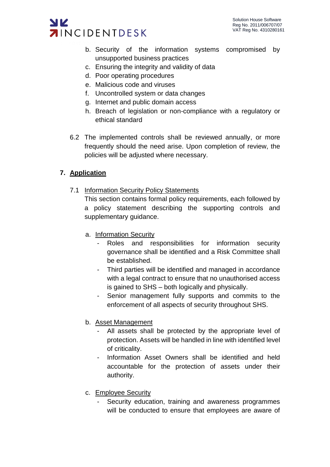

- b. Security of the information systems compromised by unsupported business practices
- c. Ensuring the integrity and validity of data
- d. Poor operating procedures
- e. Malicious code and viruses
- f. Uncontrolled system or data changes
- g. Internet and public domain access
- h. Breach of legislation or non-compliance with a regulatory or ethical standard
- 6.2 The implemented controls shall be reviewed annually, or more frequently should the need arise. Upon completion of review, the policies will be adjusted where necessary.

# **7. Application**

7.1 Information Security Policy Statements

This section contains formal policy requirements, each followed by a policy statement describing the supporting controls and supplementary guidance.

- a. Information Security
	- Roles and responsibilities for information security governance shall be identified and a Risk Committee shall be established.
	- Third parties will be identified and managed in accordance with a legal contract to ensure that no unauthorised access is gained to SHS – both logically and physically.
	- Senior management fully supports and commits to the enforcement of all aspects of security throughout SHS.
- b. Asset Management
	- All assets shall be protected by the appropriate level of protection. Assets will be handled in line with identified level of criticality.
	- Information Asset Owners shall be identified and held accountable for the protection of assets under their authority.
- c. Employee Security
	- Security education, training and awareness programmes will be conducted to ensure that employees are aware of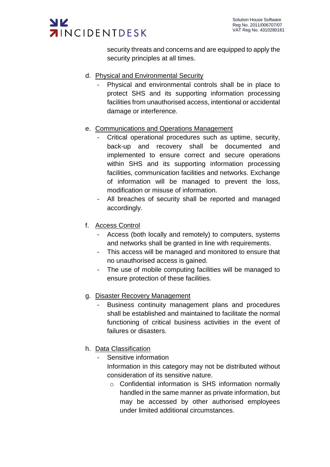

security threats and concerns and are equipped to apply the security principles at all times.

- d. Physical and Environmental Security
	- Physical and environmental controls shall be in place to protect SHS and its supporting information processing facilities from unauthorised access, intentional or accidental damage or interference.
- e. Communications and Operations Management
	- Critical operational procedures such as uptime, security, back-up and recovery shall be documented and implemented to ensure correct and secure operations within SHS and its supporting information processing facilities, communication facilities and networks. Exchange of information will be managed to prevent the loss, modification or misuse of information.
	- All breaches of security shall be reported and managed accordingly.
- f. Access Control
	- Access (both locally and remotely) to computers, systems and networks shall be granted in line with requirements.
	- This access will be managed and monitored to ensure that no unauthorised access is gained.
	- The use of mobile computing facilities will be managed to ensure protection of these facilities.
- g. Disaster Recovery Management
	- Business continuity management plans and procedures shall be established and maintained to facilitate the normal functioning of critical business activities in the event of failures or disasters.
- h. Data Classification
	- Sensitive information

Information in this category may not be distributed without consideration of its sensitive nature.

o Confidential information is SHS information normally handled in the same manner as private information, but may be accessed by other authorised employees under limited additional circumstances.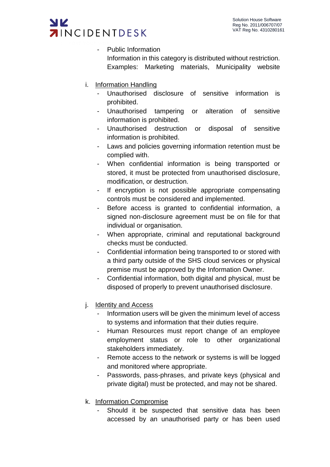

- Public Information Information in this category is distributed without restriction. Examples: Marketing materials, Municipality website
- i. Information Handling
	- Unauthorised disclosure of sensitive information is prohibited.
	- Unauthorised tampering or alteration of sensitive information is prohibited.
	- Unauthorised destruction or disposal of sensitive information is prohibited.
	- Laws and policies governing information retention must be complied with.
	- When confidential information is being transported or stored, it must be protected from unauthorised disclosure, modification, or destruction.
	- If encryption is not possible appropriate compensating controls must be considered and implemented.
	- Before access is granted to confidential information, a signed non-disclosure agreement must be on file for that individual or organisation.
	- When appropriate, criminal and reputational background checks must be conducted.
	- Confidential information being transported to or stored with a third party outside of the SHS cloud services or physical premise must be approved by the Information Owner.
	- Confidential information, both digital and physical, must be disposed of properly to prevent unauthorised disclosure.
- j. Identity and Access
	- Information users will be given the minimum level of access to systems and information that their duties require.
	- Human Resources must report change of an employee employment status or role to other organizational stakeholders immediately.
	- Remote access to the network or systems is will be logged and monitored where appropriate.
	- Passwords, pass-phrases, and private keys (physical and private digital) must be protected, and may not be shared.
- k. Information Compromise
	- Should it be suspected that sensitive data has been accessed by an unauthorised party or has been used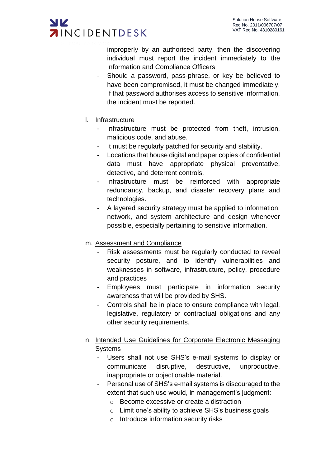

improperly by an authorised party, then the discovering individual must report the incident immediately to the Information and Compliance Officers

- Should a password, pass-phrase, or key be believed to have been compromised, it must be changed immediately. If that password authorises access to sensitive information, the incident must be reported.
- l. Infrastructure
	- Infrastructure must be protected from theft, intrusion, malicious code, and abuse.
	- It must be regularly patched for security and stability.
	- Locations that house digital and paper copies of confidential data must have appropriate physical preventative, detective, and deterrent controls.
	- Infrastructure must be reinforced with appropriate redundancy, backup, and disaster recovery plans and technologies.
	- A layered security strategy must be applied to information, network, and system architecture and design whenever possible, especially pertaining to sensitive information.
- m. Assessment and Compliance
	- Risk assessments must be regularly conducted to reveal security posture, and to identify vulnerabilities and weaknesses in software, infrastructure, policy, procedure and practices
	- Employees must participate in information security awareness that will be provided by SHS.
	- Controls shall be in place to ensure compliance with legal, legislative, regulatory or contractual obligations and any other security requirements.
- n. Intended Use Guidelines for Corporate Electronic Messaging **Systems** 
	- Users shall not use SHS's e-mail systems to display or communicate disruptive, destructive, unproductive, inappropriate or objectionable material.
	- Personal use of SHS's e-mail systems is discouraged to the extent that such use would, in management's judgment:
		- o Become excessive or create a distraction
		- o Limit one's ability to achieve SHS's business goals
		- o Introduce information security risks